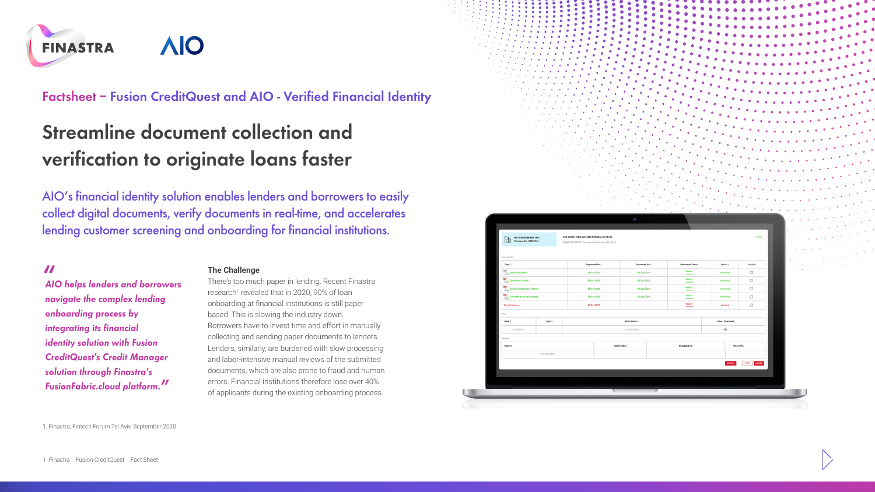

**Factsheet – Fusion CreditQuest and AIO - Verified Financial Identity**

# **Streamline document collection and verification to originate loans faster**

AIO's financial identity solution enables lenders and borrowers to easily collect digital documents, verify documents in real-time, and accelerates lending customer screening and onboarding for financial institutions.

**"** *AIO helps lenders and borrowers navigate the complex lending onboarding process by integrating its financial identity solution with Fusion CreditQuest's Credit Manager solution through Finastra's FusionFabric.cloud platform.***"**

### **The Challenge**

There's too much paper in lending. Recent Finastra research<sup>1</sup> revealed that in 2020, 90% of loan onboarding at financial institutions is still paper based. This is slowing the industry down. Borrowers have to invest time and effort in manually collecting and sending paper documents to lenders. Lenders, similarly, are burdened with slow processing and labor-intensive manual reviews of the submitted documents, which are also prone to fraud and human errors. Financial institutions therefore lose over 40% of applicants during the existing onboarding process.





1. Finastra, Fintech Forum Tel Aviv, September 2020